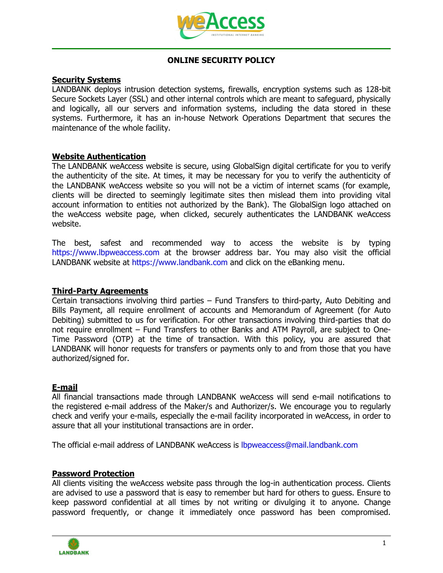

# **ONLINE SECURITY POLICY**

# **Security Systems**

LANDBANK deploys intrusion detection systems, firewalls, encryption systems such as 128-bit Secure Sockets Layer (SSL) and other internal controls which are meant to safeguard, physically and logically, all our servers and information systems, including the data stored in these systems. Furthermore, it has an in-house Network Operations Department that secures the maintenance of the whole facility.

### **Website Authentication**

The LANDBANK weAccess website is secure, using GlobalSign digital certificate for you to verify the authenticity of the site. At times, it may be necessary for you to verify the authenticity of the LANDBANK weAccess website so you will not be a victim of internet scams (for example, clients will be directed to seemingly legitimate sites then mislead them into providing vital account information to entities not authorized by the Bank). The GlobalSign logo attached on the weAccess website page, when clicked, securely authenticates the LANDBANK weAccess website.

The best, safest and recommended way to access the website is by typing https://www.lbpweaccess.com at the browser address bar. You may also visit the official LANDBANK website at https://www.landbank.com and click on the eBanking menu.

### **Third-Party Agreements**

Certain transactions involving third parties – Fund Transfers to third-party, Auto Debiting and Bills Payment, all require enrollment of accounts and Memorandum of Agreement (for Auto Debiting) submitted to us for verification. For other transactions involving third-parties that do not require enrollment – Fund Transfers to other Banks and ATM Payroll, are subject to One-Time Password (OTP) at the time of transaction. With this policy, you are assured that LANDBANK will honor requests for transfers or payments only to and from those that you have authorized/signed for.

### **E-mail**

All financial transactions made through LANDBANK weAccess will send e-mail notifications to the registered e-mail address of the Maker/s and Authorizer/s. We encourage you to regularly check and verify your e-mails, especially the e-mail facility incorporated in weAccess, in order to assure that all your institutional transactions are in order.

The official e-mail address of LANDBANK weAccess is lbpweaccess@mail.landbank.com

### **Password Protection**

All clients visiting the weAccess website pass through the log-in authentication process. Clients are advised to use a password that is easy to remember but hard for others to guess. Ensure to keep password confidential at all times by not writing or divulging it to anyone. Change password frequently, or change it immediately once password has been compromised.

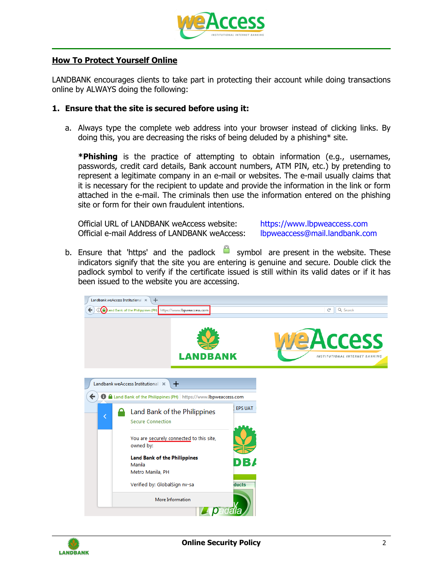

#### **How To Protect Yourself Online**

LANDBANK encourages clients to take part in protecting their account while doing transactions online by ALWAYS doing the following:

#### **1. Ensure that the site is secured before using it:**

a. Always type the complete web address into your browser instead of clicking links. By doing this, you are decreasing the risks of being deluded by a phishing\* site.

**\*Phishing** is the practice of attempting to obtain information (e.g., usernames, passwords, credit card details, Bank account numbers, ATM PIN, etc.) by pretending to represent a legitimate company in an e-mail or websites. The e-mail usually claims that it is necessary for the recipient to update and provide the information in the link or form attached in the e-mail. The criminals then use the information entered on the phishing site or form for their own fraudulent intentions.

Official URL of LANDBANK weAccess website: https://www.lbpweaccess.com Official e-mail Address of LANDBANK weAccess: lbpweaccess@mail.landbank.com

b. Ensure that 'https' and the padlock  $\Box$  symbol are present in the website. These indicators signify that the site you are entering is genuine and secure. Double click the padlock symbol to verify if the certificate issued is still within its valid dates or if it has been issued to the website you are accessing.